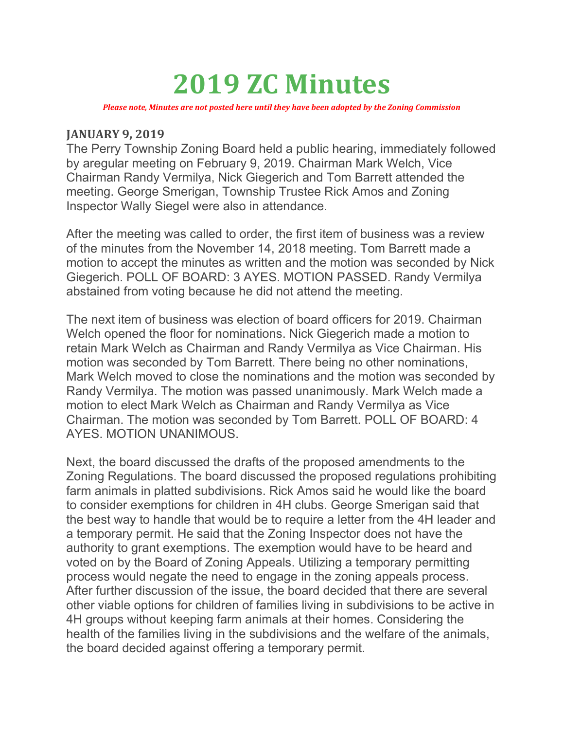# 2019 ZC Minutes

Please note, Minutes are not posted here until they have been adopted by the Zoning Commission

#### JANUARY 9, 2019

The Perry Township Zoning Board held a public hearing, immediately followed by aregular meeting on February 9, 2019. Chairman Mark Welch, Vice Chairman Randy Vermilya, Nick Giegerich and Tom Barrett attended the meeting. George Smerigan, Township Trustee Rick Amos and Zoning Inspector Wally Siegel were also in attendance.

After the meeting was called to order, the first item of business was a review of the minutes from the November 14, 2018 meeting. Tom Barrett made a motion to accept the minutes as written and the motion was seconded by Nick Giegerich. POLL OF BOARD: 3 AYES. MOTION PASSED. Randy Vermilya abstained from voting because he did not attend the meeting.

The next item of business was election of board officers for 2019. Chairman Welch opened the floor for nominations. Nick Giegerich made a motion to retain Mark Welch as Chairman and Randy Vermilya as Vice Chairman. His motion was seconded by Tom Barrett. There being no other nominations, Mark Welch moved to close the nominations and the motion was seconded by Randy Vermilya. The motion was passed unanimously. Mark Welch made a motion to elect Mark Welch as Chairman and Randy Vermilya as Vice Chairman. The motion was seconded by Tom Barrett. POLL OF BOARD: 4 AYES. MOTION UNANIMOUS.

Next, the board discussed the drafts of the proposed amendments to the Zoning Regulations. The board discussed the proposed regulations prohibiting farm animals in platted subdivisions. Rick Amos said he would like the board to consider exemptions for children in 4H clubs. George Smerigan said that the best way to handle that would be to require a letter from the 4H leader and a temporary permit. He said that the Zoning Inspector does not have the authority to grant exemptions. The exemption would have to be heard and voted on by the Board of Zoning Appeals. Utilizing a temporary permitting process would negate the need to engage in the zoning appeals process. After further discussion of the issue, the board decided that there are several other viable options for children of families living in subdivisions to be active in 4H groups without keeping farm animals at their homes. Considering the health of the families living in the subdivisions and the welfare of the animals, the board decided against offering a temporary permit.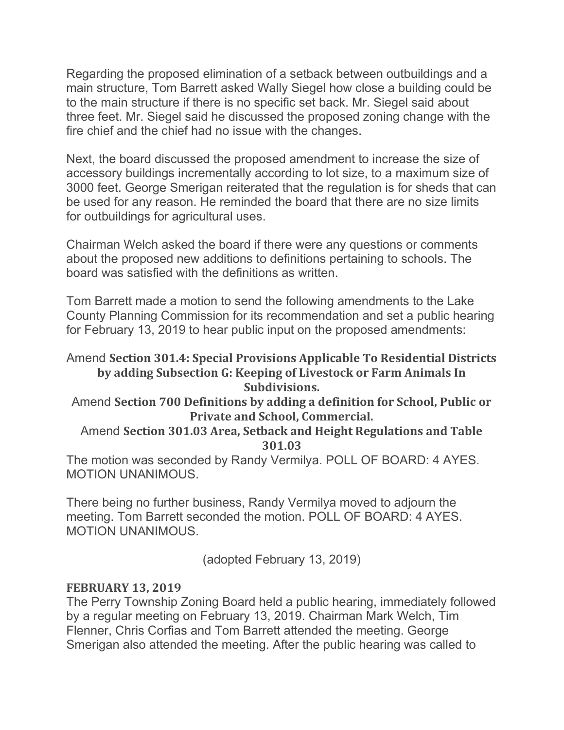Regarding the proposed elimination of a setback between outbuildings and a main structure, Tom Barrett asked Wally Siegel how close a building could be to the main structure if there is no specific set back. Mr. Siegel said about three feet. Mr. Siegel said he discussed the proposed zoning change with the fire chief and the chief had no issue with the changes.

Next, the board discussed the proposed amendment to increase the size of accessory buildings incrementally according to lot size, to a maximum size of 3000 feet. George Smerigan reiterated that the regulation is for sheds that can be used for any reason. He reminded the board that there are no size limits for outbuildings for agricultural uses.

Chairman Welch asked the board if there were any questions or comments about the proposed new additions to definitions pertaining to schools. The board was satisfied with the definitions as written.

Tom Barrett made a motion to send the following amendments to the Lake County Planning Commission for its recommendation and set a public hearing for February 13, 2019 to hear public input on the proposed amendments:

# Amend Section 301.4: Special Provisions Applicable To Residential Districts by adding Subsection G: Keeping of Livestock or Farm Animals In Subdivisions.

Amend Section 700 Definitions by adding a definition for School, Public or Private and School, Commercial.

## Amend Section 301.03 Area, Setback and Height Regulations and Table 301.03

The motion was seconded by Randy Vermilya. POLL OF BOARD: 4 AYES. MOTION UNANIMOUS.

There being no further business, Randy Vermilya moved to adjourn the meeting. Tom Barrett seconded the motion. POLL OF BOARD: 4 AYES. MOTION UNANIMOUS.

(adopted February 13, 2019)

## FEBRUARY 13, 2019

The Perry Township Zoning Board held a public hearing, immediately followed by a regular meeting on February 13, 2019. Chairman Mark Welch, Tim Flenner, Chris Corfias and Tom Barrett attended the meeting. George Smerigan also attended the meeting. After the public hearing was called to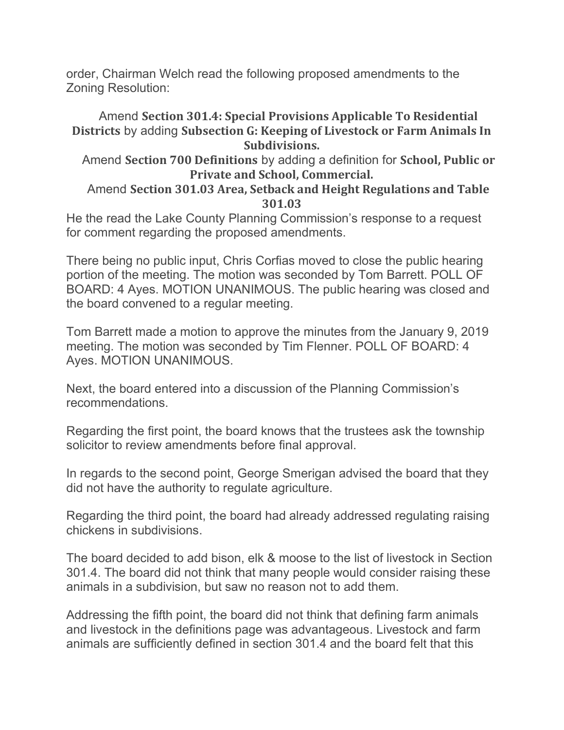order, Chairman Welch read the following proposed amendments to the Zoning Resolution:

# Amend Section 301.4: Special Provisions Applicable To Residential Districts by adding Subsection G: Keeping of Livestock or Farm Animals In Subdivisions.

 Amend Section 700 Definitions by adding a definition for School, Public or Private and School, Commercial.

## Amend Section 301.03 Area, Setback and Height Regulations and Table 301.03

He the read the Lake County Planning Commission's response to a request for comment regarding the proposed amendments.

There being no public input, Chris Corfias moved to close the public hearing portion of the meeting. The motion was seconded by Tom Barrett. POLL OF BOARD: 4 Ayes. MOTION UNANIMOUS. The public hearing was closed and the board convened to a regular meeting.

Tom Barrett made a motion to approve the minutes from the January 9, 2019 meeting. The motion was seconded by Tim Flenner. POLL OF BOARD: 4 Ayes. MOTION UNANIMOUS.

Next, the board entered into a discussion of the Planning Commission's recommendations.

Regarding the first point, the board knows that the trustees ask the township solicitor to review amendments before final approval.

In regards to the second point, George Smerigan advised the board that they did not have the authority to regulate agriculture.

Regarding the third point, the board had already addressed regulating raising chickens in subdivisions.

The board decided to add bison, elk & moose to the list of livestock in Section 301.4. The board did not think that many people would consider raising these animals in a subdivision, but saw no reason not to add them.

Addressing the fifth point, the board did not think that defining farm animals and livestock in the definitions page was advantageous. Livestock and farm animals are sufficiently defined in section 301.4 and the board felt that this